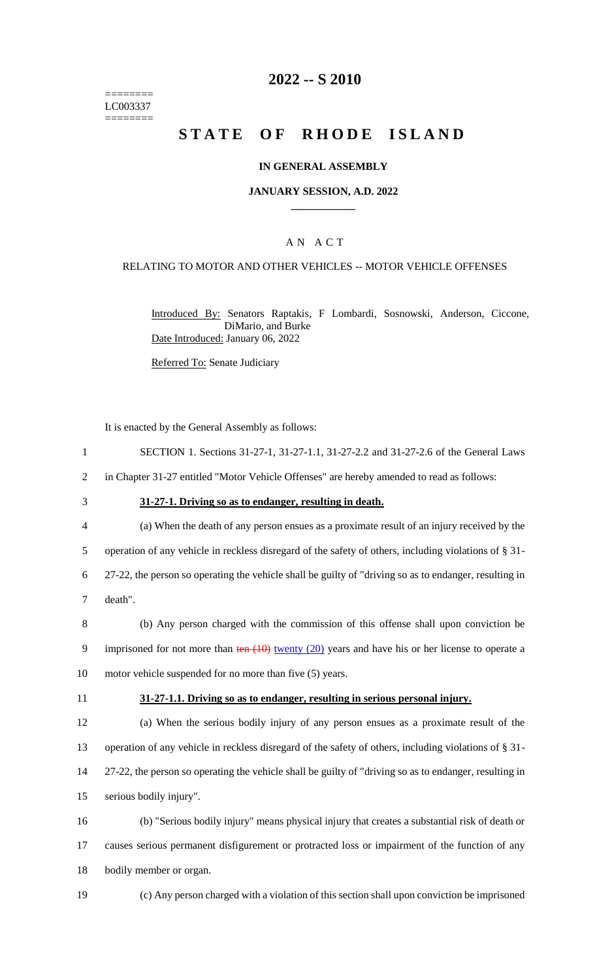======== LC003337  $=$ 

### **2022 -- S 2010**

# **STATE OF RHODE ISLAND**

### **IN GENERAL ASSEMBLY**

### **JANUARY SESSION, A.D. 2022 \_\_\_\_\_\_\_\_\_\_\_\_**

### A N A C T

### RELATING TO MOTOR AND OTHER VEHICLES -- MOTOR VEHICLE OFFENSES

Introduced By: Senators Raptakis, F Lombardi, Sosnowski, Anderson, Ciccone, DiMario, and Burke Date Introduced: January 06, 2022

Referred To: Senate Judiciary

It is enacted by the General Assembly as follows:

| $\mathbf{1}$ | SECTION 1. Sections 31-27-1, 31-27-1.1, 31-27-2.2 and 31-27-2.6 of the General Laws                                 |
|--------------|---------------------------------------------------------------------------------------------------------------------|
| 2            | in Chapter 31-27 entitled "Motor Vehicle Offenses" are hereby amended to read as follows:                           |
| 3            | 31-27-1. Driving so as to endanger, resulting in death.                                                             |
| 4            | (a) When the death of any person ensues as a proximate result of an injury received by the                          |
| 5            | operation of any vehicle in reckless disregard of the safety of others, including violations of § 31-               |
| 6            | 27-22, the person so operating the vehicle shall be guilty of "driving so as to endanger, resulting in              |
| $\tau$       | death".                                                                                                             |
| 8            | (b) Any person charged with the commission of this offense shall upon conviction be                                 |
| 9            | imprisoned for not more than $\frac{\tan(10)}{\tan(10)}$ twenty (20) years and have his or her license to operate a |
| 10           | motor vehicle suspended for no more than five (5) years.                                                            |
|              |                                                                                                                     |
| 11           | 31-27-1.1. Driving so as to endanger, resulting in serious personal injury.                                         |
| 12           | (a) When the serious bodily injury of any person ensues as a proximate result of the                                |
| 13           | operation of any vehicle in reckless disregard of the safety of others, including violations of § 31-               |
| 14           | 27-22, the person so operating the vehicle shall be guilty of "driving so as to endanger, resulting in              |
| 15           | serious bodily injury".                                                                                             |
| 16           | (b) "Serious bodily injury" means physical injury that creates a substantial risk of death or                       |
| 17           | causes serious permanent disfigurement or protracted loss or impairment of the function of any                      |
| 18           | bodily member or organ.                                                                                             |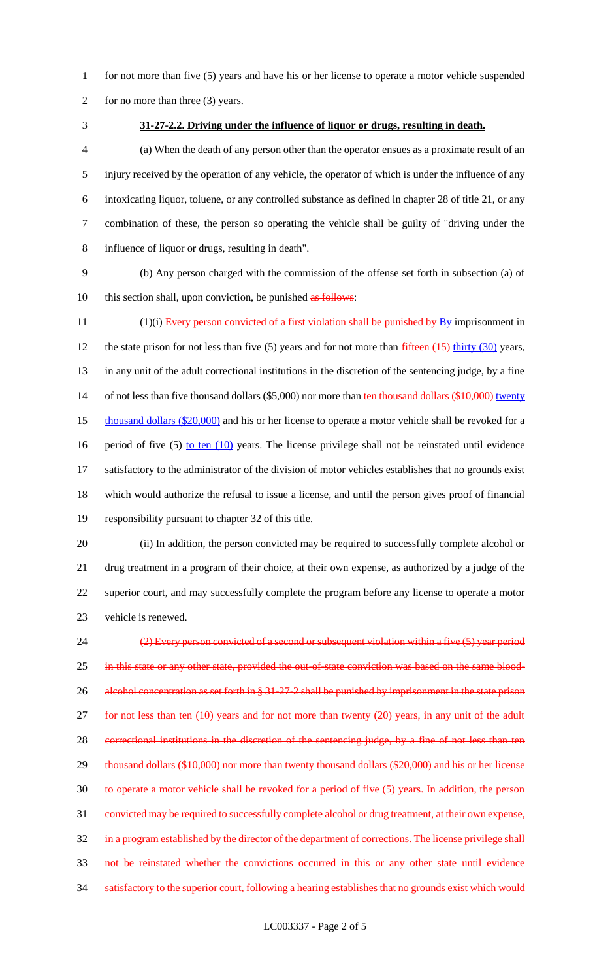- for not more than five (5) years and have his or her license to operate a motor vehicle suspended
- 2 for no more than three (3) years.
- 

### **31-27-2.2. Driving under the influence of liquor or drugs, resulting in death.**

 (a) When the death of any person other than the operator ensues as a proximate result of an injury received by the operation of any vehicle, the operator of which is under the influence of any intoxicating liquor, toluene, or any controlled substance as defined in chapter 28 of title 21, or any combination of these, the person so operating the vehicle shall be guilty of "driving under the influence of liquor or drugs, resulting in death".

 (b) Any person charged with the commission of the offense set forth in subsection (a) of 10 this section shall, upon conviction, be punished as follows:

11  $(1)(i)$  Every person convicted of a first violation shall be punished by  $\underline{By}$  imprisonment in 12 the state prison for not less than five (5) years and for not more than fifteen (15) thirty (30) years, in any unit of the adult correctional institutions in the discretion of the sentencing judge, by a fine 14 of not less than five thousand dollars (\$5,000) nor more than ten thousand dollars (\$10,000) twenty 15 thousand dollars (\$20,000) and his or her license to operate a motor vehicle shall be revoked for a 16 period of five (5) to ten (10) years. The license privilege shall not be reinstated until evidence satisfactory to the administrator of the division of motor vehicles establishes that no grounds exist which would authorize the refusal to issue a license, and until the person gives proof of financial responsibility pursuant to chapter 32 of this title.

 (ii) In addition, the person convicted may be required to successfully complete alcohol or drug treatment in a program of their choice, at their own expense, as authorized by a judge of the superior court, and may successfully complete the program before any license to operate a motor vehicle is renewed.

 (2) Every person convicted of a second or subsequent violation within a five (5) year period 25 in this state or any other state, provided the out-of-state conviction was based on the same blood-26 alcohol concentration as set forth in § 31-27-2 shall be punished by imprisonment in the state prison for not less than ten (10) years and for not more than twenty (20) years, in any unit of the adult correctional institutions in the discretion of the sentencing judge, by a fine of not less than ten 29 thousand dollars (\$10,000) nor more than twenty thousand dollars (\$20,000) and his or her license to operate a motor vehicle shall be revoked for a period of five (5) years. In addition, the person convicted may be required to successfully complete alcohol or drug treatment, at their own expense, 32 in a program established by the director of the department of corrections. The license privilege shall not be reinstated whether the convictions occurred in this or any other state until evidence 34 satisfactory to the superior court, following a hearing establishes that no grounds exist which would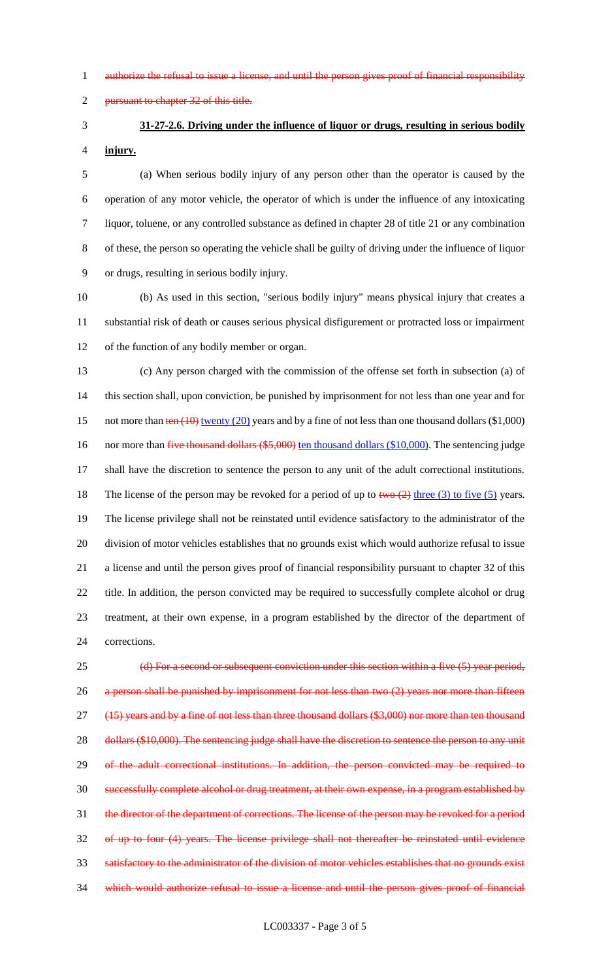1 authorize the refusal to issue a license, and until the person gives proof of financial responsibility

2 pursuant to chapter 32 of this title.

# **31-27-2.6. Driving under the influence of liquor or drugs, resulting in serious bodily**

**injury.**

 (a) When serious bodily injury of any person other than the operator is caused by the operation of any motor vehicle, the operator of which is under the influence of any intoxicating liquor, toluene, or any controlled substance as defined in chapter 28 of title 21 or any combination of these, the person so operating the vehicle shall be guilty of driving under the influence of liquor or drugs, resulting in serious bodily injury.

 (b) As used in this section, "serious bodily injury" means physical injury that creates a substantial risk of death or causes serious physical disfigurement or protracted loss or impairment of the function of any bodily member or organ.

 (c) Any person charged with the commission of the offense set forth in subsection (a) of this section shall, upon conviction, be punished by imprisonment for not less than one year and for 15 not more than ten (10) twenty (20) years and by a fine of not less than one thousand dollars (\$1,000) 16 nor more than five thousand dollars (\$5,000) ten thousand dollars (\$10,000). The sentencing judge shall have the discretion to sentence the person to any unit of the adult correctional institutions. 18 The license of the person may be revoked for a period of up to  $two (2)$  three (3) to five (5) years. The license privilege shall not be reinstated until evidence satisfactory to the administrator of the division of motor vehicles establishes that no grounds exist which would authorize refusal to issue a license and until the person gives proof of financial responsibility pursuant to chapter 32 of this title. In addition, the person convicted may be required to successfully complete alcohol or drug treatment, at their own expense, in a program established by the director of the department of corrections.

25 (d) For a second or subsequent conviction under this section within a five (5) year period, 26 a person shall be punished by imprisonment for not less than two (2) years nor more than fifteen 27 (15) years and by a fine of not less than three thousand dollars (\$3,000) nor more than ten thousand 28 dollars (\$10,000). The sentencing judge shall have the discretion to sentence the person to any unit 29 of the adult correctional institutions. In addition, the person convicted may be required to successfully complete alcohol or drug treatment, at their own expense, in a program established by the director of the department of corrections. The license of the person may be revoked for a period of up to four (4) years. The license privilege shall not thereafter be reinstated until evidence satisfactory to the administrator of the division of motor vehicles establishes that no grounds exist which would authorize refusal to issue a license and until the person gives proof of financial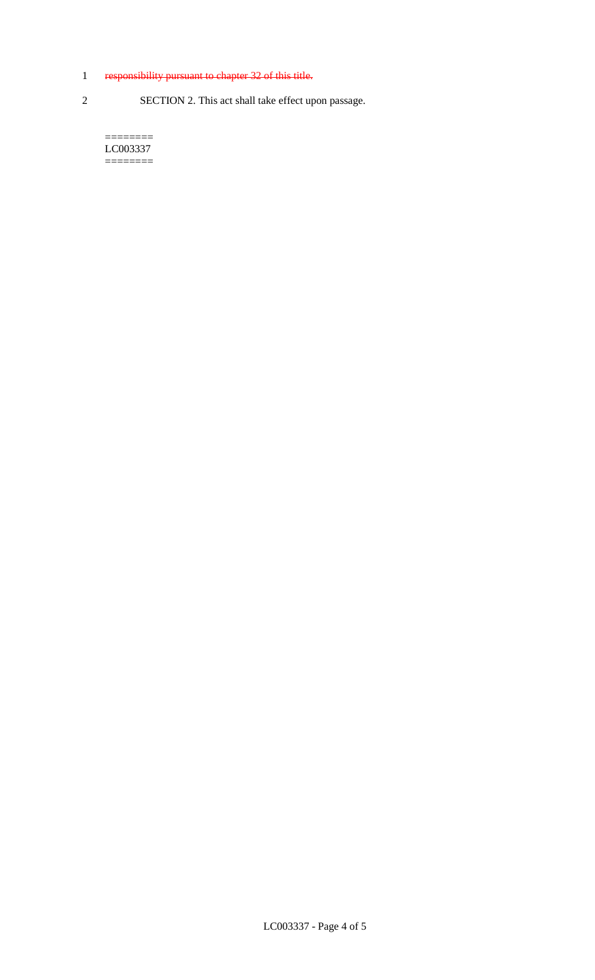### 1 responsibility pursuant to chapter 32 of this title.

2 SECTION 2. This act shall take effect upon passage.

======== LC003337 ========